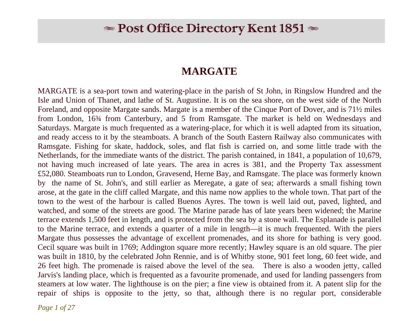# $\bullet$  Post Office Directory Kent 1851  $\bullet$

### **MARGATE**

MARGATE is a sea-port town and watering-place in the parish of St John, in Ringslow Hundred and the Isle and Union of Thanet, and lathe of St. Augustine. It is on the sea shore, on the west side of the North Foreland, and opposite Margate sands. Margate is a member of the Cinque Port of Dover, and is 71½ miles from London, 16¾ from Canterbury, and 5 from Ramsgate. The market is held on Wednesdays and Saturdays. Margate is much frequented as a watering-place, for which it is well adapted from its situation, and ready access to it by the steamboats. A branch of the South Eastern Railway also communicates with Ramsgate. Fishing for skate, haddock, soles, and flat fish is carried on, and some little trade with the Netherlands, for the immediate wants of the district. The parish contained, in 1841, a population of 10,679, not having much increased of late years. The area in acres is 381, and the Property Tax assessment £52,080. Steamboats run to London, Gravesend, Herne Bay, and Ramsgate. The place was formerly known by the name of St. John's, and still earlier as Meregate, a gate of sea; afterwards a small fishing town arose, at the gate in the cliff called Margate, and this name now applies to the whole town. That part of the town to the west of the harbour is called Buenos Ayres. The town is well laid out, paved, lighted, and watched, and some of the streets are good. The Marine parade has of late years been widened; the Marine terrace extends 1,500 feet in length, and is protected from the sea by a stone wall. The Esplanade is parallel to the Marine terrace, and extends a quarter of a mile in length—it is much frequented. With the piers Margate thus possesses the advantage of excellent promenades, and its shore for bathing is very good. Cecil square was built in 1769; Addington square more recently; Hawley square is an old square. The pier was built in 1810, by the celebrated John Rennie, and is of Whitby stone, 901 feet long, 60 feet wide, and 26 feet high. The promenade is raised above the level of the sea. There is also a wooden jetty, called Jarvis's landing place, which is frequented as a favourite promenade, and used for landing passengers from steamers at low water. The lighthouse is on the pier; a fine view is obtained from it. A patent slip for the repair of ships is opposite to the jetty, so that, although there is no regular port, considerable

*Page 1 of 27*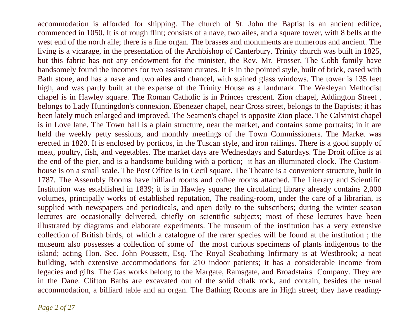accommodation is afforded for shipping. The church of St. John the Baptist is an ancient edifice, commenced in 1050. It is of rough flint; consists of a nave, two ailes, and a square tower, with 8 bells at the west end of the north aile; there is a fine organ. The brasses and monuments are numerous and ancient. The living is a vicarage, in the presentation of the Archbishop of Canterbury. Trinity church was built in 1825, but this fabric has not any endowment for the minister, the Rev. Mr. Prosser. The Cobb family have handsomely found the incomes for two assistant curates. It is in the pointed style, built of brick, cased with Bath stone, and has a nave and two ailes and chancel, with stained glass windows. The tower is 135 feet high, and was partly built at the expense of the Trinity House as a landmark. The Wesleyan Methodist chapel is in Hawley square. The Roman Catholic is in Princes crescent. Zion chapel, Addington Street , belongs to Lady Huntingdon's connexion. Ebenezer chapel, near Cross street, belongs to the Baptists; it has been lately much enlarged and improved. The Seamen's chapel is opposite Zion place. The Calvinist chapel is in Love lane. The Town hall is a plain structure, near the market, and contains some portraits; in it are held the weekly petty sessions, and monthly meetings of the Town Commissioners. The Market was erected in 1820. It is enclosed by porticos, in the Tuscan style, and iron railings. There is a good supply of meat, poultry, fish, and vegetables. The market days are Wednesdays and Saturdays. The Droit office is at the end of the pier, and is a handsome building with a portico; it has an illuminated clock. The Customhouse is on a small scale. The Post Office is in Cecil square. The Theatre is a convenient structure, built in 1787. The Assembly Rooms have billiard rooms and coffee rooms attached. The Literary and Scientific Institution was established in 1839; it is in Hawley square; the circulating library already contains 2,000 volumes, principally works of established reputation, The reading-room, under the care of a librarian, is supplied with newspapers and periodicals, and open daily to the subscribers; during the winter season lectures are occasionally delivered, chiefly on scientific subjects; most of these lectures have been illustrated by diagrams and elaborate experiments. The museum of the institution has a very extensive collection of British birds, of which a catalogue of the rarer species will be found at the institution ; the museum also possesses a collection of some of the most curious specimens of plants indigenous to the island; acting Hon. Sec. John Poussett, Esq. The Royal Seabathing Infirmary is at Westbrook; a neat building, with extensive accommodations for 210 indoor patients; it has a considerable income from legacies and gifts. The Gas works belong to the Margate, Ramsgate, and Broadstairs Company. They are in the Dane. Clifton Baths are excavated out of the solid chalk rock, and contain, besides the usual accommodation, a billiard table and an organ. The Bathing Rooms are in High street; they have reading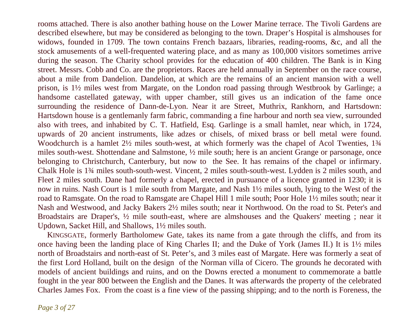rooms attached. There is also another bathing house on the Lower Marine terrace. The Tivoli Gardens are described elsewhere, but may be considered as belonging to the town. Draper's Hospital is almshouses for widows, founded in 1709. The town contains French bazaars, libraries, reading-rooms, &c, and all the stock amusements of a well-frequented watering place, and as many as 100,000 visitors sometimes arrive during the season. The Charity school provides for the education of 400 children. The Bank is in King street. Messrs. Cobb and Co. are the proprietors. Races are held annually in September on the race course, about a mile from Dandelion. Dandelion, at which are the remains of an ancient mansion with a well prison, is 1½ miles west from Margate, on the London road passing through Westbrook by Garlinge; a handsome castellated gateway, with upper chamber, still gives us an indication of the fame once surrounding the residence of Dann-de-Lyon. Near it are Street, Muthrix, Rankhorn, and Hartsdown: Hartsdown house is a gentlemanly farm fabric, commanding a fine harbour and north sea view, surrounded also with trees, and inhabited by C. T. Hatfield, Esq. Garlinge is a small hamlet, near which, in 1724, upwards of 20 ancient instruments, like adzes or chisels, of mixed brass or bell metal were found. Woodchurch is a hamlet  $2\frac{1}{2}$  miles south-west, at which formerly was the chapel of Acol Twenties, 1<sup>3</sup>/4 miles south-west. Shottendane and Salmstone, ½ mile south; here is an ancient Grange or parsonage, once belonging to Christchurch, Canterbury, but now to the See. It has remains of the chapel or infirmary. Chalk Hole is 1¾ miles south-south-west. Vincent, 2 miles south-south-west. Lydden is 2 miles south, and Fleet 2 miles south. Dane had formerly a chapel, erected in pursuance of a licence granted in 1230; it is now in ruins. Nash Court is 1 mile south from Margate, and Nash 1½ miles south, lying to the West of the road to Ramsgate. On the road to Ramsgate are Chapel Hill 1 mile south; Poor Hole 1½ miles south; near it Nash and Westwood, and Jacky Bakers 2½ miles south; near it Northwood. On the road to St. Peter's and Broadstairs are Draper's, ½ mile south-east, where are almshouses and the Quakers' meeting ; near it Updown, Sacket Hill, and Shallows, 1½ miles south.

 KINGSGATE, formerly Bartholomew Gate, takes its name from a gate through the cliffs, and from its once having been the landing place of King Charles II; and the Duke of York (James II.) It is 1½ miles north of Broadstairs and north-east of St. Peter's, and 3 miles east of Margate. Here was formerly a seat of the first Lord Holland, built on the design of the Norman villa of Cicero. The grounds he decorated with models of ancient buildings and ruins, and on the Downs erected a monument to commemorate a battle fought in the year 800 between the English and the Danes. It was afterwards the property of the celebrated Charles James Fox. From the coast is a fine view of the passing shipping; and to the north is Foreness, the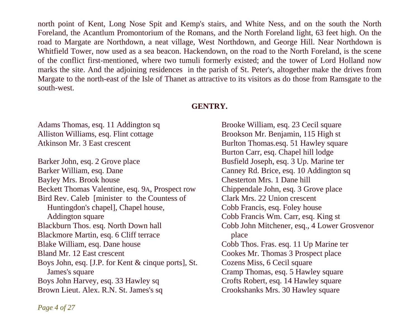north point of Kent, Long Nose Spit and Kemp's stairs, and White Ness, and on the south the North Foreland, the Acantlum Promontorium of the Romans, and the North Foreland light, 63 feet high. On the road to Margate are Northdown, a neat village, West Northdown, and George Hill. Near Northdown is Whitfield Tower, now used as a sea beacon. Hackendown, on the road to the North Foreland, is the scene of the conflict first-mentioned, where two tumuli formerly existed; and the tower of Lord Holland now marks the site. And the adjoining residences in the parish of St. Peter's, altogether make the drives from Margate to the north-east of the Isle of Thanet as attractive to its visitors as do those from Ramsgate to the south-west.

#### **GENTRY.**

Adams Thomas, esq. 11 Addington sq Alliston Williams, esq. Flint cottage Atkinson Mr. 3 East crescent

Barker John, esq. 2 Grove place Barker William, esq. Dane Bayley Mrs. Brook house Beckett Thomas Valentine, esq. 9A, Prospect row Bird Rev. Caleb [minister to the Countess of Huntingdon's chapel], Chapel house, Addington square Blackburn Thos. esq. North Down hall Blackmore Martin, esq. 6 Cliff terrace Blake William, esq. Dane house Bland Mr. 12 East crescent Boys John, esq. [J.P. for Kent & cinque ports], St. James's square Boys John Harvey, esq. 33 Hawley sq Brown Lieut. Alex. R.N. St. James's sq

Brooke William, esq. 23 Cecil square Brookson Mr. Benjamin, 115 High st Burlton Thomas.esq. 51 Hawley square Burton Carr, esq. Chapel hill lodge Busfield Joseph, esq. 3 Up. Marine ter Canney Rd. Brice, esq. 10 Addington sq Chesterton Mrs. 1 Dane hill Chippendale John, esq. 3 Grove place Clark Mrs. 22 Union crescent Cobb Francis, esq. Foley house Cobb Francis Wm. Carr, esq. King st. Cobb John Mitchener, esq., 4 Lower Grosvenor place Cobb Thos. Fras. esq. 11 Up Marine ter Cookes Mr. Thomas 3 Prospect place Cozens Miss, 6 Cecil square Cramp Thomas, esq. 5 Hawley square Crofts Robert, esq. 14 Hawley square Crookshanks Mrs. 30 Hawley square

*Page 4 of 27*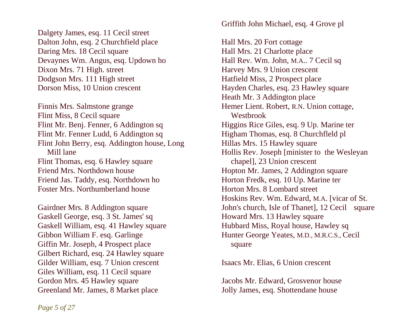Dalgety James, esq. 11 Cecil street Dalton John, esq. 2 Churchfield place Daring Mrs. 18 Cecil square Devaynes Wm. Angus, esq. Updown ho Dixon Mrs. 71 High. street Dodgson Mrs. 111 High street Dorson Miss, 10 Union crescent

Finnis Mrs. Salmstone grange Flint Miss, 8 Cecil square Flint Mr. Benj. Fenner, 6 Addington sq Flint Mr. Fenner Ludd, 6 Addington sq Flint John Berry, esq. Addington house, Long Mill lane Flint Thomas, esq. 6 Hawley square Friend Mrs. Northdown house Friend Jas. Taddy, esq. Northdown ho Foster Mrs. Northumberland house

Gairdner Mrs. 8 Addington square Gaskell George, esq. 3 St. James' sq Gaskell William, esq. 41 Hawley square Gibbon William F. esq. Garlinge Giffin Mr. Joseph, 4 Prospect place Gilbert Richard, esq. 24 Hawley square Gilder William, esq. 7 Union crescent Giles William, esq. 11 Cecil square Gordon Mrs. 45 Hawley square Greenland Mr. James, 8 Market place

Griffith John Michael, esq. 4 Grove pl

Hall Mrs. 20 Fort cottage Hall Mrs. 21 Charlotte place Hall Rev. Wm. John, M.A.. 7 Cecil sq Harvey Mrs. 9 Union crescent Hatfield Miss, 2 Prospect place Hayden Charles, esq. 23 Hawley square Heath Mr. 3 Addington place Hemer Lient. Robert, R.N. Union cottage, Westbrook Higgins Rice Giles, esq. 9 Up. Marine ter Higham Thomas, esq. 8 Churchfleld pl Hillas Mrs. 15 Hawley square Hollis Rev. Joseph [minister to the Wesleyan chapel], 23 Union crescent Hopton Mr. James, 2 Addington square Horton Fredk, esq. 10 Up. Marine ter Horton Mrs. 8 Lombard street Hoskins Rev. Wm. Edward, M.A. [vicar of St. John's church, Isle of Thanet], 12 Cecil square Howard Mrs. 13 Hawley square Hubbard Miss, Royal house, Hawley sq Hunter George Yeates, M.D., M.R.C.S., Cecil square

Isaacs Mr. Elias, 6 Union crescent

Jacobs Mr. Edward, Grosvenor house Jolly James, esq. Shottendane house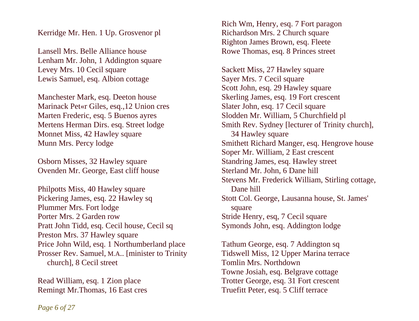Kerridge Mr. Hen. 1 Up. Grosvenor pl

Lansell Mrs. Belle Alliance house Lenham Mr. John, 1 Addington square Levey Mrs. 10 Cecil square Lewis Samuel, esq. Albion cottage

Manchester Mark, esq. Deeton house Marinack Pet«r Giles, esq.,12 Union cres Marten Frederic, esq. 5 Buenos ayres Mertens Herman Dirs. esq. Street lodge Monnet Miss, 42 Hawley square Munn Mrs. Percy lodge

Osborn Misses, 32 Hawley square Ovenden Mr. George, East cliff house

Philpotts Miss, 40 Hawley square Pickering James, esq. 22 Hawley sq Plummer Mrs. Fort lodge Porter Mrs. 2 Garden row Pratt John Tidd, esq. Cecil house, Cecil sq Preston Mrs. 37 Hawley square Price John Wild, esq. 1 Northumberland place Prosser Rev. Samuel, M.A.. [minister to Trinity church], 8 Cecil street

Read William, esq. 1 Zion place Remingt Mr.Thomas, 16 East cres Rich Wm, Henry, esq. 7 Fort paragon Richardson Mrs. 2 Church square Righton James Brown, esq. Fleete Rowe Thomas, esq. 8 Princes street

Sackett Miss, 27 Hawley square Sayer Mrs. 7 Cecil square Scott John, esq. 29 Hawley square Skerling James, esq. 19 Fort crescent Slater John, esq. 17 Cecil square Slodden Mr. William, 5 Churchfield pl Smith Rev. Sydney [lecturer of Trinity church], 34 Hawley square Smithett Richard Manger, esq. Hengrove house Soper Mr. William, 2 East crescent Standring James, esq. Hawley street Sterland Mr. John, 6 Dane hill Stevens Mr. Frederick William, Stirling cottage, Dane hill Stott Col. George, Lausanna house, St. James' square Stride Henry, esq, 7 Cecil square Symonds John, esq. Addington lodge

Tathum George, esq. 7 Addington sq Tidswell Miss, 12 Upper Marina terrace Tomlin Mrs. Northdown Towne Josiah, esq. Belgrave cottage Trotter George, esq. 31 Fort crescent Truefitt Peter, esq. 5 Cliff terrace

*Page 6 of 27*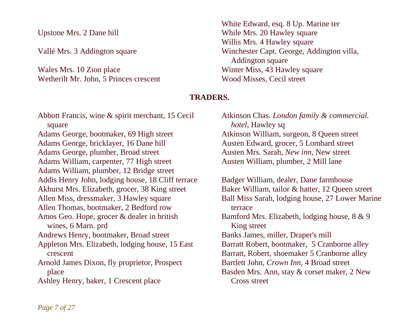Upstone Mrs. 2 Dane hill

Vallé Mrs. 3 Addington square

Wales Mrs. 10 Zion place Wetherilt Mr. John, 5 Princes crescent White Edward, esq. 8 Up. Marine ter While Mrs. 20 Hawley square Willis Mrs. 4 Hawley square Winchester Capt. George, Addington villa, Addington square Winter Miss, 43 Hawley square Wood Misses, Cecil street

#### **TRADERS.**

Abbott Francis, wine & spirit merchant, 15 Cecil square Adams George, bootmaker, 69 High street Adams George, bricklayer, 16 Dane hill Adams George, plumber, Broad street Adams William, carpenter, 77 High street Adams William, plumber, 12 Bridge street Addis Henry John, lodging house, 18 Cliff terrace Akhurst Mrs. Elizabeth, grocer, 38 King street Allen Miss, dressmaker, 3 Hawley square Allen Thomas, bootmaker, 2 Bedford row Amos Geo. Hope, grocer & dealer in british wines, 6 Marn. prd Andrews Henry, bootmaker, Broad street Appleton Mrs. Elizabeth, lodging house, 15 East crescent Arnold James Dixon, fly proprietor, Prospect place Ashley Henry, baker, 1 Crescent place

Atkinson Chas*. London family & commercial. hotel*, Hawley sq Atkinson William, surgeon, 8 Queen street Austen Edward, grocer, 5 Lombard street Austen Mrs. Sarah, *New inn*, New street Austen William, plumber, 2 Mill lane

Badger William, dealer, Dane farmhouse Baker William, tailor & hatter, 12 Queen street Ball Miss Sarah, lodging house, 27 Lower Marine terrace Bamford Mrs. Elizabeth, lodging house, 8 & 9 King street Banks James, miller, Draper's mill Barratt Robert, bootmaker, 5 Cranborne alley Barratt, Robert, shoemaker 5 Cranborne alley Bartlett John, *Crown Inn*, 4 Broad street Basden Mrs. Ann, stay & corset maker, 2 New Cross street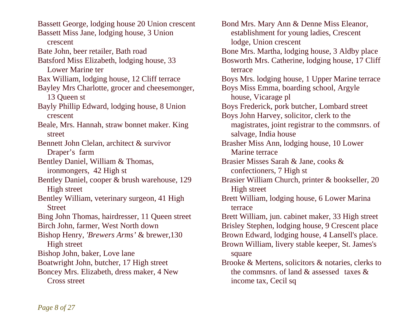Bassett George, lodging house 20 Union crescent Bassett Miss Jane, lodging house, 3 Union crescent Bate John, beer retailer, Bath road Batsford Miss Elizabeth, lodging house, 33 Lower Marine ter Bax William, lodging house, 12 Cliff terrace Bayley Mrs Charlotte, grocer and cheesemonger, 13 Queen st Bayly Phillip Edward, lodging house, 8 Union crescent Beale, Mrs. Hannah, straw bonnet maker. King street Bennett John Clelan, architect & survivor Draper's farm Bentley Daniel, William & Thomas, ironmongers, 42 High st Bentley Daniel, cooper & brush warehouse, 129 High street Bentley William, veterinary surgeon, 41 High **Street** Bing John Thomas, hairdresser, 11 Queen street Birch John, farmer, West North down Bishop Henry, *'Brewers Arms'* & brewer,130 High street Bishop John, baker, Love lane Boatwright John, butcher, 17 High street Boncey Mrs. Elizabeth, dress maker, 4 New Cross street

Bond Mrs. Mary Ann & Denne Miss Eleanor, establishment for young ladies, Crescent lodge, Union crescent Bone Mrs. Martha, lodging house, 3 Aldby place Bosworth Mrs. Catherine, lodging house, 17 Cliff terrace Boys Mrs. lodging house, 1 Upper Marine terrace Boys Miss Emma, boarding school, Argyle house, Vicarage pl Boys Frederick, pork butcher, Lombard street Boys John Harvey, solicitor, clerk to the magistrates, joint registrar to the commsnrs. of salvage, India house Brasher Miss Ann, lodging house, 10 Lower Marine terrace Brasier Misses Sarah & Jane, cooks & confectioners, 7 High st Brasier William Church, printer & bookseller, 20 High street Brett William, lodging house, 6 Lower Marina terrace Brett William, jun. cabinet maker, 33 High street Brisley Stephen, lodging house, 9 Crescent place Brown Edward, lodging house, 4 Lansell's place. Brown William, livery stable keeper, St. James's square Brooke & Mertens, solicitors & notaries, clerks to the commsnrs. of land & assessed taxes & income tax, Cecil sq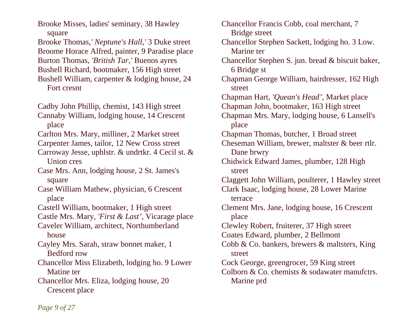Brooke Misses, ladies' seminary, 38 Hawley square

Brooke Thomas,*' Neptune's Hall,'* 3 Duke street Broome Horace Alfred, painter, 9 Paradise place Burton Thomas, *'British Tar,'* Buenos ayres Bushell Richard, bootmaker, 156 High street Bushell William, carpenter & lodging house, 24

Fort cresnt

Cadby John Phillip, chemist, 143 High street Cannaby William, lodging house, 14 Crescent place

Carlton Mrs. Mary, milliner, 2 Market street

Carpenter James, tailor, 12 New Cross street

Carroway Jesse, uphlstr. & undrtkr. 4 Cecil st. & Union cres

Case Mrs. Ann, lodging house, 2 St. James's square

Case William Mathew, physician, 6 Crescent place

Castell William, bootmaker, 1 High street

Castle Mrs. Mary, *'First & Last'*, Vicarage place

Caveler William, architect, Northumberland house

Cayley Mrs. Sarah, straw bonnet maker, 1 Bedford row

Chancellor Miss Elizabeth, lodging ho. 9 Lower Matine ter

Chancellor Mrs. Eliza, lodging house, 20 Crescent place

Chancellor Francis Cobb, coal merchant, 7 Bridge street Chancellor Stephen Sackett, lodging ho. 3 Low. Marine ter Chancellor Stephen S. jun. bread & biscuit baker, 6 Bridge st Chapman George William, hairdresser, 162 High street Chapman Hart, *'Quean's Head'*, Market place Chapman John, bootmaker, 163 High street Chapman Mrs. Mary, lodging house, 6 Lansell's place Chapman Thomas, butcher, 1 Broad street Cheseman William, brewer, maltster & beer rtlr. Dane brwry Chidwick Edward James, plumber, 128 High street Claggett John William, poulterer, 1 Hawley street Clark Isaac, lodging house, 28 Lower Marine terrace Clement Mrs. Jane, lodging house, 16 Crescent place Clewley Robert, fruiterer, 37 High street Coates Edward, plumber, 2 Bellmont Cobb & Co. bankers, brewers & maltsters, King street Cock George, greengrocer, 59 King street Colborn & Co. chemists & sodawater manufctrs. Marine prd

*Page 9 of 27*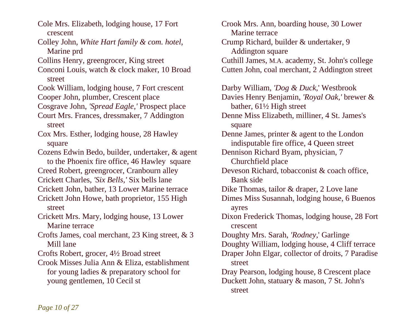Cole Mrs. Elizabeth, lodging house, 17 Fort crescent

Colley John, *White Hart family & com. hotel*, Marine prd

Collins Henry, greengrocer, King street

Conconi Louis, watch & clock maker, 10 Broad street

Cook William, lodging house, 7 Fort crescent Cooper John, plumber, Crescent place

Cosgrave John, *'Spread Eagle,'* Prospect place

Court Mrs. Frances, dressmaker, 7 Addington street

Cox Mrs. Esther, lodging house, 28 Hawley square

Cozens Edwin Bedo, builder, undertaker, & agent to the Phoenix fire office, 46 Hawley square

Creed Robert, greengrocer, Cranbourn alley

Crickett Charles, *'Six Bells,'* Six bells lane

Crickett John, bather, 13 Lower Marine terrace Crickett John Howe, bath proprietor, 155 High

street

Crickett Mrs. Mary, lodging house, 13 Lower Marine terrace

Crofts James, coal merchant, 23 King street, & 3 Mill lane

Crofts Robert, grocer, 4½ Broad street

Crook Misses Julia Ann & Eliza, establishment for young ladies & preparatory school for young gentlemen, 10 Cecil st

Crook Mrs. Ann, boarding house, 30 Lower Marine terrace Crump Richard, builder & undertaker, 9 Addington square Cuthill James, M.A. academy, St. John's college Cutten John, coal merchant, 2 Addington street Darby William, *'Dog & Duck*,' Westbrook Davies Henry Benjamin, *'Royal Oak,'* brewer & bather, 61½ High street Denne Miss Elizabeth, milliner, 4 St. James's square Denne James, printer & agent to the London indisputable fire office, 4 Queen street Dennison Richard Byam, physician, 7 Churchfield place Deveson Richard, tobacconist & coach office, Bank side Dike Thomas, tailor & draper, 2 Love lane Dimes Miss Susannah, lodging house, 6 Buenos ayres Dixon Frederick Thomas, lodging house, 28 Fort crescent Doughty Mrs. Sarah, *'Rodney,*' Garlinge Doughty William, lodging house, 4 Cliff terrace Draper John Elgar, collector of droits, 7 Paradise street Dray Pearson, lodging house, 8 Crescent place Duckett John, statuary & mason, 7 St. John's street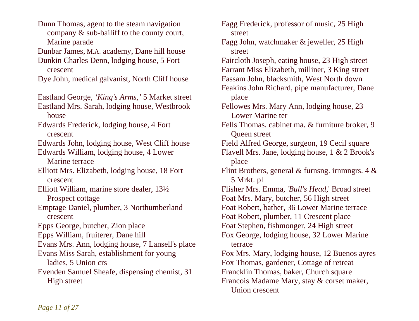Dunn Thomas, agent to the steam navigation company & sub-bailiff to the county court, Marine parade Dunbar James, M.A. academy, Dane hill house Dunkin Charles Denn, lodging house, 5 Fort crescent Dye John, medical galvanist, North Cliff house Eastland George, *'King's Arms,'* 5 Market street Eastland Mrs. Sarah, lodging house, Westbrook house Edwards Frederick, lodging house, 4 Fort crescent Edwards John, lodging house, West Cliff house Edwards William, lodging house, 4 Lower Marine terrace Elliott Mrs. Elizabeth, lodging house, 18 Fort crescent Elliott William, marine store dealer, 13½ Prospect cottage Emptage Daniel, plumber, 3 Northumberland crescent Epps George, butcher, Zion place Epps William, fruiterer, Dane hill Evans Mrs. Ann, lodging house, 7 Lansell's place Evans Miss Sarah, establishment for young ladies, 5 Union crs Evenden Samuel Sheafe, dispensing chemist, 31 High street

Fagg Frederick, professor of music, 25 High street Fagg John, watchmaker & jeweller, 25 High street Faircloth Joseph, eating house, 23 High street Farrant Miss Elizabeth, milliner, 3 King street Fassam John, blacksmith, West North down Feakins John Richard, pipe manufacturer, Dane place Fellowes Mrs. Mary Ann, lodging house, 23 Lower Marine ter Fells Thomas, cabinet ma. & furniture broker, 9 Queen street Field Alfred George, surgeon, 19 Cecil square Flavell Mrs. Jane, lodging house, 1 & 2 Brook's place Flint Brothers, general & furnsng. irnmngrs.  $4 \&$  5 Mrkt. pl Flisher Mrs. Emma, '*Bull's Head,*' Broad street Foat Mrs. Mary, butcher, 56 High street Foat Robert, bather, 36 Lower Marine terrace Foat Robert, plumber, 11 Crescent place Foat Stephen, fishmonger, 24 High street Fox George, lodging house, 32 Lower Marine terrace Fox Mrs. Mary, lodging house, 12 Buenos ayres Fox Thomas, gardener, Cottage of retreat Francklin Thomas, baker, Church square Francois Madame Mary, stay & corset maker, Union crescent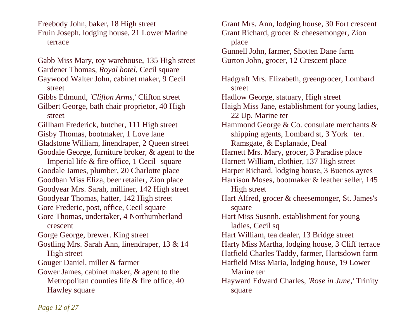Freebody John, baker, 18 High street Fruin Joseph, lodging house, 21 Lower Marine terrace

Gabb Miss Mary, toy warehouse, 135 High street Gardener Thomas, *Royal hotel*, Cecil square Gaywood Walter John, cabinet maker, 9 Cecil street Gibbs Edmund, *'Clifton Arms,'* Clifton street Gilbert George, bath chair proprietor, 40 High street Gillham Frederick, butcher, 111 High street Gisby Thomas, bootmaker, 1 Love lane Gladstone William, linendraper, 2 Queen street Goodale George, furniture broker, & agent to the Imperial life & fire office, 1 Cecil square Goodale James, plumber, 20 Charlotte place Goodban Miss Eliza, beer retailer, Zion place Goodyear Mrs. Sarah, milliner, 142 High street Goodyear Thomas, hatter, 142 High street Gore Frederic, post, office, Cecil square Gore Thomas, undertaker, 4 Northumberland crescent Gorge George, brewer. King street Gostling Mrs. Sarah Ann, linendraper, 13 & 14 High street Gouger Daniel, miller & farmer Gower James, cabinet maker, & agent to the Metropolitan counties life & fire office, 40 Hawley square

Grant Mrs. Ann, lodging house, 30 Fort crescent Grant Richard, grocer & cheesemonger, Zion place Gunnell John, farmer, Shotten Dane farm Gurton John, grocer, 12 Crescent place Hadgraft Mrs. Elizabeth, greengrocer, Lombard street Hadlow George, statuary, High street Haigh Miss Jane, establishment for young ladies, 22 Up. Marine ter Hammond George & Co. consulate merchants & shipping agents, Lombard st, 3 York ter. Ramsgate, & Esplanade, Deal Harnett Mrs. Mary, grocer, 3 Paradise place Harnett William, clothier, 137 High street Harper Richard, lodging house, 3 Buenos ayres Harrison Moses, bootmaker & leather seller, 145 High street Hart Alfred, grocer & cheesemonger, St. James's square Hart Miss Susnnh. establishment for young ladies, Cecil sq Hart William, tea dealer, 13 Bridge street Harty Miss Martha, lodging house, 3 Cliff terrace Hatfield Charles Taddy, farmer, Hartsdown farm Hatfield Miss Maria, lodging house, 19 Lower Marine ter Hayward Edward Charles, *'Rose in June,'* Trinity square

*Page 12 of 27*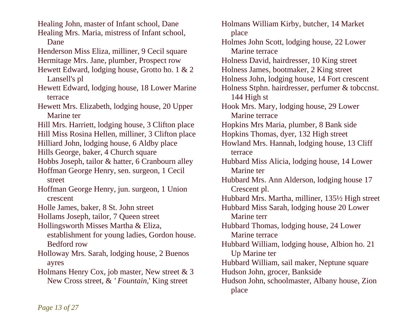Healing John, master of Infant school, Dane Healing Mrs. Maria, mistress of Infant school, Dane Henderson Miss Eliza, milliner, 9 Cecil square Hermitage Mrs. Jane, plumber, Prospect row Hewett Edward, lodging house, Grotto ho. 1 & 2 Lansell's pl Hewett Edward, lodging house, 18 Lower Marine terrace Hewett Mrs. Elizabeth, lodging house, 20 Upper Marine ter Hill Mrs. Harriett, lodging house, 3 Clifton place Hill Miss Rosina Hellen, milliner, 3 Clifton place Hilliard John, lodging house, 6 Aldby place Hills George, baker, 4 Church square Hobbs Joseph, tailor & hatter, 6 Cranbourn alley Hoffman George Henry, sen. surgeon, 1 Cecil street Hoffman George Henry, jun. surgeon, 1 Union crescent Holle James, baker, 8 St. John street Hollams Joseph, tailor, 7 Queen street Hollingsworth Misses Martha & Eliza, establishment for young ladies, Gordon house. Bedford row Holloway Mrs. Sarah, lodging house, 2 Buenos ayres Holmans Henry Cox, job master, New street & 3 New Cross street, & *' Fountain,*' King street

Holmans William Kirby, butcher, 14 Market place Holmes John Scott, lodging house, 22 Lower Marine terrace Holness David, hairdresser, 10 King street Holness James, bootmaker, 2 King street Holness John, lodging house, 14 Fort crescent Holness Stphn. hairdresser, perfumer & tobccnst. 144 High st Hook Mrs. Mary, lodging house, 29 Lower Marine terrace Hopkins Mrs Maria, plumber, 8 Bank side Hopkins Thomas, dyer, 132 High street Howland Mrs. Hannah, lodging house, 13 Cliff terrace Hubbard Miss Alicia, lodging house, 14 Lower Marine ter Hubbard Mrs. Ann Alderson, lodging house 17 Crescent pl. Hubbard Mrs. Martha, milliner, 135½ High street Hubbard Miss Sarah, lodging house 20 Lower Marine terr Hubbard Thomas, lodging house, 24 Lower Marine terrace Hubbard William, lodging house, Albion ho. 21 Up Marine ter Hubbard William, sail maker, Neptune square Hudson John, grocer, Bankside Hudson John, schoolmaster, Albany house, Zion place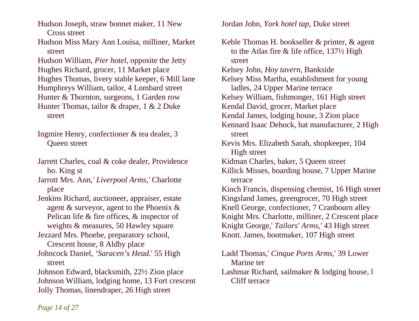Hudson Joseph, straw bonnet maker, 11 New Cross street

Hudson Miss Mary Ann Louisa, milliner, Market street

Hudson William, *Pier hotel*, opposite the Jetty Hughes Richard, grocer, 11 Market place Hughes Thomas, livery stable keeper, 6 Mill lane Humphreys William, tailor, 4 Lombard street Hunter & Thornton, surgeons, 1 Garden row Hunter Thomas, tailor & draper, 1 & 2 Duke street

Ingmire Henry, confectioner & tea dealer, 3 Queen street

Jarrett Charles, coal & coke dealer, Providence ho. King st

Jarrott Mrs. Ann,*' Liverpool Arms,'* Charlotte place

Jenkins Richard, auctioneer, appraiser, estate agent & surveyor, agent to the Phoenix & Pelican life & fire offices, & inspector of weights & measures, 50 Hawley square

Jezzard Mrs. Phoebe, preparatory school, Crescent house, 8 Aldby place

Johncock Daniel, *'Saracen's Head.*' 55 High street

Johnson Edward, blacksmith, 22½ Zion place Johnson William, lodging home, 13 Fort crescent Jolly Thomas, linendraper, 26 High street

Jordan John, *York hotel tap*, Duke street

Keble Thomas H. bookseller & printer, & agent to the Atlas fire & life office, 137½ High street Kelsey John, *Hoy tavern*, Bankside Kelsey Miss Martha, establishment for young ladles, 24 Upper Marine terrace Kelsey William, fishmonger, 161 High street Kendal David, grocer, Market place Kendal James, lodging house, 3 Zion place Kennard Isaac Dehock, hat manufacturer, 2 High street Kevis Mrs. Elizabeth Sarah, shopkeeper, 104 High street Kidman Charles, baker, 5 Queen street Killick Misses, boarding house, 7 Upper Marine terrace Kinch Francis, dispensing chemist, 16 High street Kingsland James, greengrocer, 70 High street Knell George, confectioner, 7 Cranbourn alley Knight Mrs. Charlotte, milliner, 2 Crescent place Knight George,' *Tailors' Arms,'* 43 High street Knott. James, bootmaker, 107 High street

Ladd Thomas,' *Cinque Ports Arms,*' 39 Lower Marine ter

Lashmar Richard, sailmaker & lodging house, l Cliff terrace

*Page 14 of 27*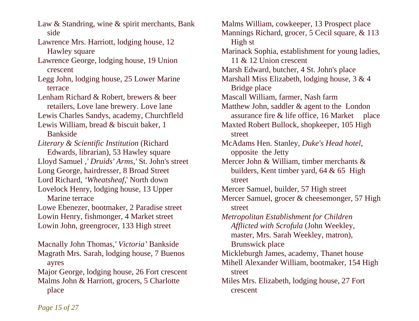Law & Standring, wine & spirit merchants, Bank side

Lawrence Mrs. Harriott, lodging house, 12 Hawley square

Lawrence George, lodging house, 19 Union crescent

Legg John, lodging house, 25 Lower Marine terrace

Lenham Richard & Robert, brewers & beer retailers, Love lane brewery. Love lane Lewis Charles Sandys, academy, Churchfleld

Lewis William, bread & biscuit baker, 1 Bankside

*Literary & Scientific Institution* (Richard Edwards, librarian), 53 Hawley square Lloyd Samuel ,*' Druids' Arms,'* St. John's street Long George, hairdresser, 8 Broad Street Lord Richard, *'Wheatsheaf,*' North down Lovelock Henry, lodging house, 13 Upper Marine terrace

Lowe Ebenezer, bootmaker, 2 Paradise street Lowin Henry, fishmonger, 4 Market street Lowin John, greengrocer, 133 High street

Macnally John Thomas,*' Victoria'* Bankside Magrath Mrs. Sarah, lodging house, 7 Buenos ayres

Major George, lodging house, 26 Fort crescent Malms John & Harriott, grocers, 5 Charlotte place

Malms William, cowkeeper, 13 Prospect place Mannings Richard, grocer, 5 Cecil square, & 113 High st Marinack Sophia, establishment for young ladies, 11 & 12 Union crescent Marsh Edward, butcher, 4 St. John's place Marshall Miss Elizabeth, lodging house, 3 & 4 Bridge place Mascall William, farmer, Nash farm Matthew John, saddler & agent to the London assurance fire & life office, 16 Market place Maxted Robert Bullock, shopkeeper, 105 High street McAdams Hen. Stanley, *Duke's Head hotel*, opposite the Jetty Mercer John & William, timber merchants & builders, Kent timber yard, 64 & 65 High street Mercer Samuel, builder, 57 High street Mercer Samuel, grocer & cheesemonger, 57 High street *Metropolitan Establishment for Children Afflicted with Scrofula* (John Weekley, master, Mrs. Sarah Weekley, matron), Brunswick place Mickleburgh James, academy, Thanet house Mihell Alexander William, bootmaker, 154 High street Miles Mrs. Elizabeth, lodging house, 27 Fort crescent

*Page 15 of 27*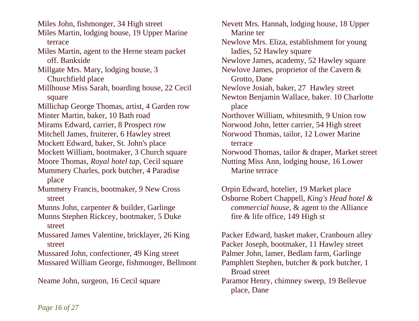Miles John, fishmonger, 34 High street Miles Martin, lodging house, 19 Upper Marine terrace Miles Martin, agent to the Herne steam packet off. Bankside Millgate Mrs. Mary, lodging house, 3 Churchfield place Millhouse Miss Sarah, boarding house, 22 Cecil square Millichap George Thomas, artist, 4 Garden row Minter Martin, baker, 10 Bath road Mirams Edward, carrier, 8 Prospect row Mitchell James, fruiterer, 6 Hawley street Mockett Edward, baker, St. John's place Mockett William, bootmaker, 3 Church square Moore Thomas, *Royal hotel tap*, Cecil square Mummery Charles, pork butcher, 4 Paradise place Mummery Francis, bootmaker, 9 New Cross street Munns John, carpenter & builder, Garlinge Munns Stephen Rickcey, bootmaker, 5 Duke street Mussared James Valentine, bricklayer, 26 King street Mussared John, confectioner, 49 King street Mussared William George, fishmonger, Bellmont Neame John, surgeon, 16 Cecil square

Nevett Mrs. Hannah, lodging house, 18 Upper Marine ter Newlove Mrs. Eliza, establishment for young ladies, 52 Hawley square Newlove James, academy, 52 Hawley square Newlove James, proprietor of the Cavern & Grotto, Dane Newlove Josiah, baker, 27 Hawley street Newton Benjamin Wallace, baker. 10 Charlotte place Northover William, whitesmith, 9 Union row Norwood John, letter carrier, 54 High street Norwood Thomas, tailor, 12 Lower Marine terrace Norwood Thomas, tailor & draper, Market street Nutting Miss Ann, lodging house, 16 Lower Marine terrace

Orpin Edward, hotelier, 19 Market place Osborne Robert Chappell, *King's Head hotel & commercial house*, & agent to the Alliance fire & life office, 149 High st

Packer Edward, basket maker, Cranbourn alley Packer Joseph, bootmaker, 11 Hawley street Palmer John, lamer, Bedlam farm, Garlinge Pamphlett Stephen, butcher & pork butcher, 1 Broad street

Paramor Henry, chimney sweep, 19 Bellevue place, Dane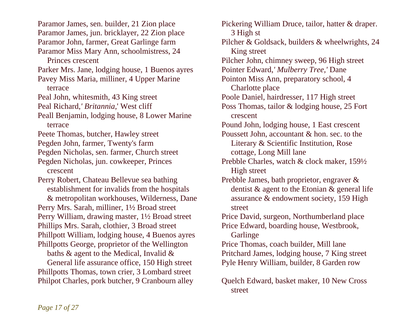Paramor James, sen. builder, 21 Zion place Paramor James, jun. bricklayer, 22 Zion place Paramor John, farmer, Great Garlinge farm Paramor Miss Mary Ann, schoolmistress, 24 Princes crescent Parker Mrs. Jane, lodging house, 1 Buenos ayres Pavey Miss Maria, milliner, 4 Upper Marine terrace Peal John, whitesmith, 43 King street Peal Richard,*' Britannia,*' West cliff Peall Benjamin, lodging house, 8 Lower Marine terrace Peete Thomas, butcher, Hawley street Pegden John, farmer, Twenty's farm Pegden Nicholas, sen. farmer, Church street Pegden Nicholas, jun. cowkeeper, Princes crescent Perry Robert, Chateau Bellevue sea bathing establishment for invalids from the hospitals & metropolitan workhouses, Wilderness, Dane Perry Mrs. Sarah, milliner, 1½ Broad street Perry William, drawing master, 1½ Broad street Phillips Mrs. Sarah, clothier, 3 Broad street Phillpott William, lodging house, 4 Buenos ayres Phillpotts George, proprietor of the Wellington baths & agent to the Medical, Invalid & General life assurance office, 150 High street Phillpotts Thomas, town crier, 3 Lombard street

Philpot Charles, pork butcher, 9 Cranbourn alley

Pickering William Druce, tailor, hatter & draper. 3 High st Pilcher & Goldsack, builders & wheelwrights, 24 King street Pilcher John, chimney sweep, 96 High street Pointer Edward,*' Mulberry Tree,'* Dane Pointon Miss Ann, preparatory school, 4 Charlotte place Poole Daniel, hairdresser, 117 High street Poss Thomas, tailor & lodging house, 25 Fort crescent Pound John, lodging house, 1 East crescent Poussett John, accountant & hon. sec. to the Literary & Scientific Institution, Rose cottage, Long Mill lane Prebble Charles, watch & clock maker, 159½ High street Prebble James, bath proprietor, engraver & dentist & agent to the Etonian & general life assurance & endowment society, 159 High street Price David, surgeon, Northumberland place Price Edward, boarding house, Westbrook, **Garlinge** Price Thomas, coach builder, Mill lane Pritchard James, lodging house, 7 King street Pyle Henry William, builder, 8 Garden row Quelch Edward, basket maker, 10 New Cross

street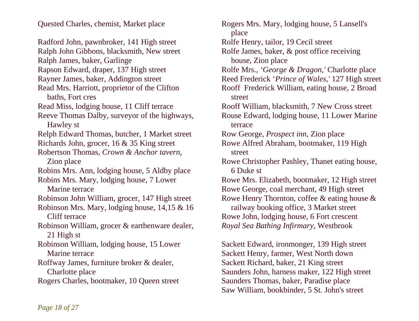Quested Charles, chemist, Market place

Radford John, pawnbroker, 141 High street Ralph John Gibbons, blacksmith, New street Ralph James, baker, Garlinge Rapson Edward, draper, 137 High street Rayner James, baker, Addington street Read Mrs. Harriott, proprietor of the Clifton baths, Fort cres Read Miss, lodging house, 11 Cliff terrace Reeve Thomas Dalby, surveyor of the highways, Hawley st Relph Edward Thomas, butcher, 1 Market street Richards John, grocer, 16 & 35 King street Robertson Thomas, *Crown & Anchor tavern*, Zion place Robins Mrs. Ann, lodging house, 5 Aldby place Robins Mrs. Mary, lodging house, 7 Lower Marine terrace Robinson John William, grocer, 147 High street Robinson Mrs. Mary, lodging house, 14,15 & 16 Cliff terrace Robinson William, grocer & earthenware dealer, 21 High st Robinson William, lodging house, 15 Lower Marine terrace Roffway James, furniture broker & dealer, Charlotte place Rogers Charles, bootmaker, 10 Queen street

Rogers Mrs. Mary, lodging house, 5 Lansell's place Rolfe Henry, tailor, 19 Cecil street Rolfe James, baker, & post office receiving house, Zion place Rolfe Mrs., *'George & Dragon,'* Charlotte place Reed Frederick '*Prince of Wales,'* 127 High street Rooff Frederick William, eating house, 2 Broad street Rooff William, blacksmith, 7 New Cross street Rouse Edward, lodging house, 11 Lower Marine terrace Row George, *Prospect inn*, Zion place Rowe Alfred Abraham, bootmaker, 119 High street Rowe Christopher Pashley, Thanet eating house, 6 Duke st Rowe Mrs. Elizabeth, bootmaker, 12 High street Rowe George, coal merchant, 49 High street Rowe Henry Thornton, coffee & eating house & railway booking office, 3 Market street Rowe John, lodging house, 6 Fort crescent *Royal Sea Bathing Infirmary*, Westbrook Sackett Edward, ironmonger, 139 High street

Sackett Henry, farmer, West North down Sackett Richard, baker, 21 King street Saunders John, harness maker, 122 High street Saunders Thomas, baker, Paradise place Saw William, bookbinder, 5 St. John's street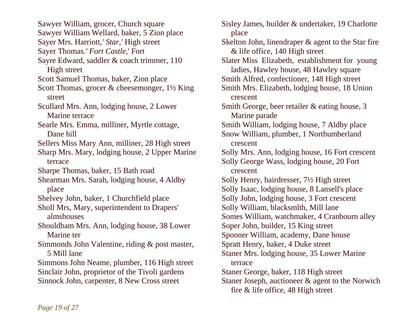Sawyer William, grocer, Church square Sawyer William Wellard, baker, 5 Zion place Sayer Mrs. Harriott,*' Star,'* High street Sayer Thomas.*' Fort Castle,*' Fort Sayre Edward, saddler & coach trimmer, 110 High street Scott Samuel Thomas, baker, Zion place Scott Thomas, grocer & cheesemonger, 1½ King street Scullard Mrs. Ann, lodging house, 2 Lower Marine terrace Searle Mrs. Emma, milliner, Myrtle cottage, Dane hill Sellers Miss Mary Ann, milliner, 28 High street Sharp Mrs. Mary, lodging house, 2 Upper Marine terrace Sharpe Thomas, baker, 15 Bath road Shearman Mrs. Sarah, lodging house, 4 Aldby place Shelvey John, baker, 1 Churchfield place Sholl Mrs, Mary, superintendent to Drapers' almshouses Shouldham Mrs. Ann, lodging house, 38 Lower Marine ter Simmonds John Valentine, riding & post master, 5 Mill lane Simmons John Neame, plumber, 116 High street Sinclair John, proprietor of the Tivoli gardens Sinnock John, carpenter, 8 New Cross street

Sisley James, builder & undertaker, 19 Charlotte place Skelton John, linendraper & agent to the Star fire & life office, 140 High street Slater Miss Elizabeth, establishment for young ladies, Hawley house, 48 Hawley square Smith Alfred, confectioner, 148 High street Smith Mrs. Elizabeth, lodging house, 18 Union crescent Smith George, beer retailer & eating house, 3 Marine parade Smith William, lodging house, 7 Aldby place Snow William, plumber, 1 Northumberland crescent Solly Mrs. Ann, lodging house, 16 Fort crescent Solly George Wass, lodging house, 20 Fort crescent Solly Henry, hairdresser, 7½ High street Solly Isaac, lodging house, 8 Lansell's place Solly John, lodging house, 3 Fort crescent Solly William, blacksmlth, Mill lane Somes William, watchmaker, 4 Cranbourn alley Soper John, builder, 15 King street Spooner William, academy, Dane house Spratt Henry, baker, 4 Duke street Staner Mrs. lodging house, 35 Lower Marine terrace Staner George, baker, 118 High street Staner Joseph, auctioneer & agent to the Norwich fire & life office, 48 High street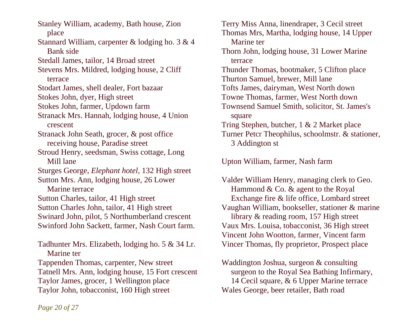Stanley William, academy, Bath house, Zion place Stannard William, carpenter & lodging ho. 3 & 4 Bank side Stedall James, tailor, 14 Broad street Stevens Mrs. Mildred, lodging house, 2 Cliff terrace Stodart James, shell dealer, Fort bazaar Stokes John, dyer, High street Stokes John, farmer, Updown farm Stranack Mrs. Hannah, lodging house, 4 Union crescent Stranack John Seath, grocer, & post office receiving house, Paradise street Stroud Henry, seedsman, Swiss cottage, Long Mill lane Sturges George, *Elephant hotel,* 132 High street Sutton Mrs. Ann, lodging house, 26 Lower Marine terrace Sutton Charles, tailor, 41 High street Sutton Charles John, tailor, 41 High street Swinard John, pilot, 5 Northumberland crescent Swinford John Sackett, farmer, Nash Court farm. Tadhunter Mrs. Elizabeth, lodging ho. 5 & 34 Lr. Marine ter

Tappenden Thomas, carpenter, New street Tatnell Mrs. Ann, lodging house, 15 Fort crescent Taylor James, grocer, 1 Wellington place Taylor John, tobacconist, 160 High street

Terry Miss Anna, linendraper, 3 Cecil street Thomas Mrs, Martha, lodging house, 14 Upper Marine ter Thorn John, lodging house, 31 Lower Marine terrace Thunder Thomas, bootmaker, 5 Clifton place Thurton Samuel, brewer, Mill lane Tofts James, dairyman, West North down Towne Thomas, farmer, West North down Townsend Samuel Smith, solicitor, St. James's square Tring Stephen, butcher, 1 & 2 Market place Turner Petcr Theophilus, schoolmstr. & stationer, 3 Addington st

Upton William, farmer, Nash farm

Valder William Henry, managing clerk to Geo. Hammond & Co. & agent to the Royal Exchange fire & life office, Lombard street Vaughan William, bookseller, stationer & marine library & reading room, 157 High street Vaux Mrs. Louisa, tobacconist, 36 High street Vincent John Wootton, farmer, Vincent farm Vincer Thomas, fly proprietor, Prospect place

Waddington Joshua, surgeon & consulting surgeon to the Royal Sea Bathing Infirmary, 14 Cecil square, & 6 Upper Marine terrace Wales George, beer retailer, Bath road

*Page 20 of 27*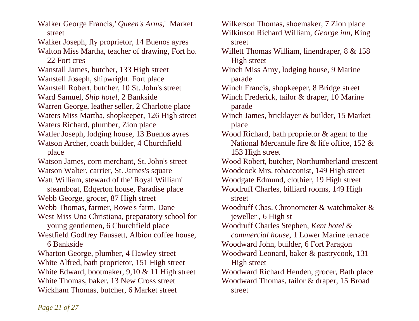Walker George Francis,*' Queen's Arms,*' Market street Walker Joseph, fly proprietor, 14 Buenos ayres Walton Miss Martha, teacher of drawing, Fort ho. 22 Fort cres Wanstall James, butcher, 133 High street Wanstell Joseph, shipwright. Fort place Wanstell Robert, butcher, 10 St. John's street Ward Samuel, *Ship hotel*, 2 Bankside Warren George, leather seller, 2 Charlotte place Waters Miss Martha, shopkeeper, 126 High street Waters Richard, plumber, Zion place Watler Joseph, lodging house, 13 Buenos ayres Watson Archer, coach builder, 4 Churchfield place Watson James, corn merchant, St. John's street Watson Walter, carrier, St. James's square Watt William, steward of the' Royal William' steamboat, Edgerton house, Paradise place Webb George, grocer, 87 High street Webb Thomas, farmer, Rowe's farm, Dane West Miss Una Christiana, preparatory school for young gentlemen, 6 Churchfield place Westfield Godfrey Faussett, Albion coffee house, 6 Bankside Wharton George, plumber, 4 Hawley street White Alfred, bath proprietor, 151 High street White Edward, bootmaker, 9,10 & 11 High street White Thomas, baker, 13 New Cross street Wickham Thomas, butcher, 6 Market street

Wilkerson Thomas, shoemaker, 7 Zion place Wilkinson Richard William, *George inn*, King street Willett Thomas William, linendraper, 8 & 158 High street Winch Miss Amy, lodging house, 9 Marine parade Winch Francis, shopkeeper, 8 Bridge street Winch Frederick, tailor & draper, 10 Marine parade Winch James, bricklayer & builder, 15 Market place Wood Richard, bath proprietor & agent to the National Mercantile fire & life office, 152 & 153 High street Wood Robert, butcher, Northumberland crescent Woodcock Mrs. tobacconist, 149 High street Woodgate Edmund, clothier, 19 High street Woodruff Charles, billiard rooms, 149 High street Woodruff Chas. Chronometer & watchmaker & jeweller , 6 High st Woodruff Charles Stephen, *Kent hotel & commercial house*, 1 Lower Marine terrace Woodward John, builder, 6 Fort Paragon Woodward Leonard, baker & pastrycook, 131 High street Woodward Richard Henden, grocer, Bath place Woodward Thomas, tailor & draper, 15 Broad street

*Page 21 of 27*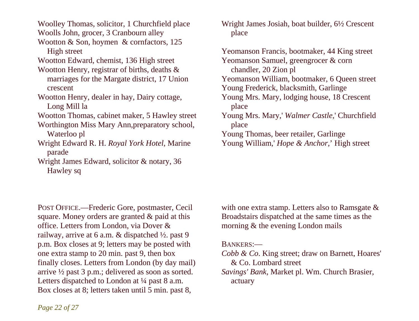Woolley Thomas, solicitor, 1 Churchfield place Woolls John, grocer, 3 Cranbourn alley Wootton & Son, hoymen & cornfactors, 125

High street

Wootton Edward, chemist, 136 High street

- Wootton Henry, registrar of births, deaths & marriages for the Margate district, 17 Union crescent
- Wootton Henry, dealer in hay, Dairy cottage, Long Mill la
- Wootton Thomas, cabinet maker, 5 Hawley street
- Worthington Miss Mary Ann,preparatory school, Waterloo pl
- Wright Edward R. H. *Royal York Hotel*, Marine parade
- Wright James Edward, solicitor & notary, 36 Hawley sq

Wright James Josiah, boat builder, 6½ Crescent place

Yeomanson Francis, bootmaker, 44 King street Yeomanson Samuel, greengrocer & corn chandler, 20 Zion pl Yeomanson William, bootmaker, 6 Queen street Young Frederick, blacksmith, Garlinge Young Mrs. Mary, lodging house, 18 Crescent place Young Mrs. Mary,' *Walmer Castle,*' Churchfield place Young Thomas, beer retailer, Garlinge Young William,' *Hope & Anchor,*' High street

POST OFFICE.—Frederic Gore, postmaster, Cecil square. Money orders are granted & paid at this office. Letters from London, via Dover & railway, arrive at 6 a.m. & dispatched ½. past 9 p.m. Box closes at 9; letters may be posted with one extra stamp to 20 min. past 9, then box finally closes. Letters from London (by day mail) arrive ½ past 3 p.m.; delivered as soon as sorted. Letters dispatched to London at  $\frac{1}{4}$  past 8 a.m. Box closes at 8; letters taken until 5 min. past 8,

with one extra stamp. Letters also to Ramsgate & Broadstairs dispatched at the same times as the morning & the evening London mails

#### BANKERS:—

- *Cobb & Co*. King street; draw on Barnett, Hoares' & Co. Lombard street
- *Savings' Bank,* Market pl. Wm. Church Brasier, actuary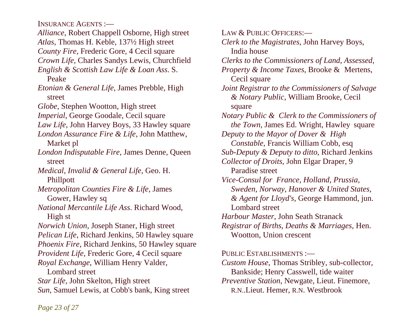INSURANCE AGENTS :—

*Alliance*, Robert Chappell Osborne, High street *Atlas*, Thomas H. Keble, 137½ High street *County Fire*, Frederic Gore, 4 Cecil square *Crown Life*, Charles Sandys Lewis, Churchfield *English & Scottish Law Life & Loan Ass*. S. Peake *Etonian & General Life*, James Prebble, High street *Globe*, Stephen Wootton, High street *Imperial*, George Goodale, Cecil square *Law Life*, John Harvey Boys, 33 Hawley square *London Assurance Fire & Life*, John Matthew, Market pl *London Indisputable Fire*, James Denne, Queen street *Medical, Invalid & General Life*, Geo. H. Phillpott *Metropolitan Counties Fire & Life,* James Gower, Hawley sq *National Mercantile Life Ass*. Richard Wood, High st *Norwich Union*, Joseph Staner, High street *Pelican Life*, Richard Jenkins, 50 Hawley square *Phoenix Fire*, Richard Jenkins, 50 Hawley square *Provident Life*, Frederic Gore, 4 Cecil square *Royal Exchange*, William Henry Valder, Lombard street *Star Life*, John Skelton, High street *Sun*, Samuel Lewis, at Cobb's bank, King street

LAW & PUBLIC OFFICERS:— *Clerk to the Magistrates*, John Harvey Boys, India house *Clerks to the Commissioners of Land, Assessed, Property & Income Taxes*, Brooke & Mertens, Cecil square *Joint Registrar to the Commissioners of Salvage & Notary Public*, William Brooke, Cecil square *Notary Public & Clerk to the Commissioners of the Town*, James Ed. Wright, Hawley square *Deputy to the Mayor of Dover & High Constable,* Francis William Cobb, esq *Sub-Deputy & Deputy to ditto*, Richard Jenkins *Collector of Droits*, John Elgar Draper, 9 Paradise street *Vice-Consul for France, Holland, Prussia, Sweden, Norway, Hanover & United States, & Agent for Lloyd's,* George Hammond, jun. Lombard street *Harbour Master*, John Seath Stranack *Registrar of Births, Deaths & Marriages*, Hen. Wootton, Union crescent PUBLIC ESTABLISHMENTS :-*Custom House,* Thomas Stribley, sub-collector, Bankside; Henry Casswell, tide waiter

*Preventive Station*, Newgate, Lieut. Finemore, R.N..Lieut. Hemer, R.N. Westbrook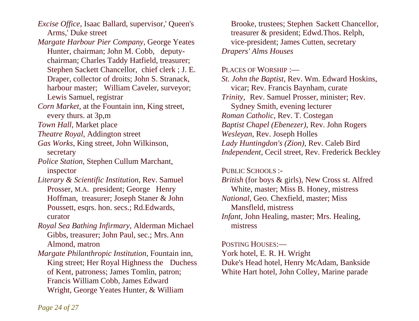*Excise Office*, Isaac Ballard, supervisor,' Queen's Arms,' Duke street

- *Margate Harbour Pier Company*, George Yeates Hunter, chairman; John M. Cobb, deputy chairman; Charles Taddy Hatfield, treasurer; Stephen Sackett Chancellor, chief clerk ; J. E. Draper, collector of droits; John S. Stranack, harbour master; William Caveler, surveyor; Lewis Samuel, registrar
- *Corn Market*, at the Fountain inn, King street, every thurs. at 3p,m
- *Town Hall*, Market place
- *Theatre Royal*, Addington street
- *Gas Works*, King street, John Wilkinson, secretary
- *Police Station*, Stephen Cullum Marchant, inspector
- *Literary & Scientific Institution*, Rev. Samuel Prosser, M.A. president; George Henry Hoffman, treasurer; Joseph Staner & John Poussett, esqrs. hon. secs.; Rd.Edwards, curator
- *Royal Sea Bathing Infirmary*, Alderman Michael Gibbs, treasurer; John Paul, sec.; Mrs. Ann Almond, matron
- *Margate Philanthropic Institution*, Fountain inn, King street; Her Royal Highness the Duchess of Kent, patroness; James Tomlin, patron; Francis William Cobb, James Edward Wright, George Yeates Hunter, & William

 Brooke, trustees; Stephen Sackett Chancellor, treasurer & president; Edwd.Thos. Relph, vice-president; James Cutten, secretary *Drapers' Alms Houses* 

#### PLACES OF WORSHIP :-

*St. John the Baptist*, Rev. Wm. Edward Hoskins, vicar; Rev. Francis Baynham, curate *Trinity*, Rev. Samuel Prosser, minister; Rev. Sydney Smith, evening lecturer *Roman Catholic*, Rev. T. Costegan *Baptist Chapel (Ebenezer)*, Rev. John Rogers *Wesleyan*, Rev. Joseph Holles *Lady Huntingdon's (Zion),* Rev. Caleb Bird *Independent*, Cecil street, Rev. Frederick Beckley

#### PUBLIC SCHOOLS :-

*British* (for boys & girls), New Cross st. Alfred White, master; Miss B. Honey, mistress *National,* Geo. Chexfield, master; Miss Mansfleld, mistress *Infant,* John Healing, master; Mrs. Healing, mistress

#### POSTING HOUSES:—

York hotel, E. R. H. Wright

Duke's Head hotel, Henry McAdam, Bankside White Hart hotel, John Colley, Marine parade

*Page 24 of 27*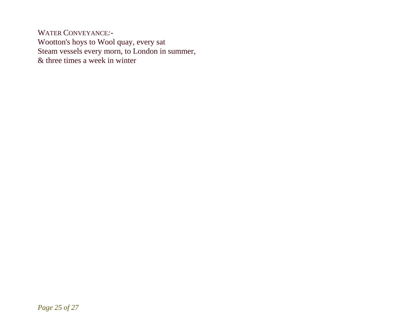WATER CONVEYANCE*:-*  Wootton's hoys to Wool quay, every sat Steam vessels every morn, to London in summer, & three times a week in winter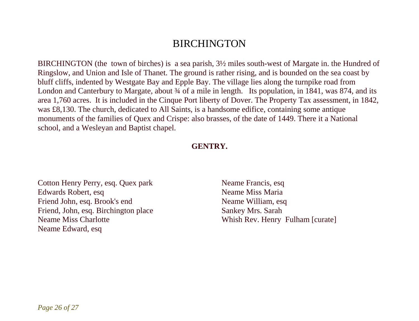## **BIRCHINGTON**

BIRCHINGTON (the town of birches) is a sea parish, 3½ miles south-west of Margate in. the Hundred of Ringslow, and Union and Isle of Thanet. The ground is rather rising, and is bounded on the sea coast by bluff cliffs, indented by Westgate Bay and Epple Bay. The village lies along the turnpike road from London and Canterbury to Margate, about  $\frac{3}{4}$  of a mile in length. Its population, in 1841, was 874, and its area 1,760 acres. It is included in the Cinque Port liberty of Dover. The Property Tax assessment, in 1842, was £8,130. The church, dedicated to All Saints, is a handsome edifice, containing some antique monuments of the families of Quex and Crispe: also brasses, of the date of 1449. There it a National school, and a Wesleyan and Baptist chapel.

#### **GENTRY.**

Cotton Henry Perry, esq. Quex park Edwards Robert, esq Friend John, esq. Brook's end Friend, John, esq. Birchington place Neame Miss Charlotte Neame Edward, esq

Neame Francis, esq Neame Miss Maria Neame William, esq Sankey Mrs. Sarah Whish Rev. Henry Fulham [curate]